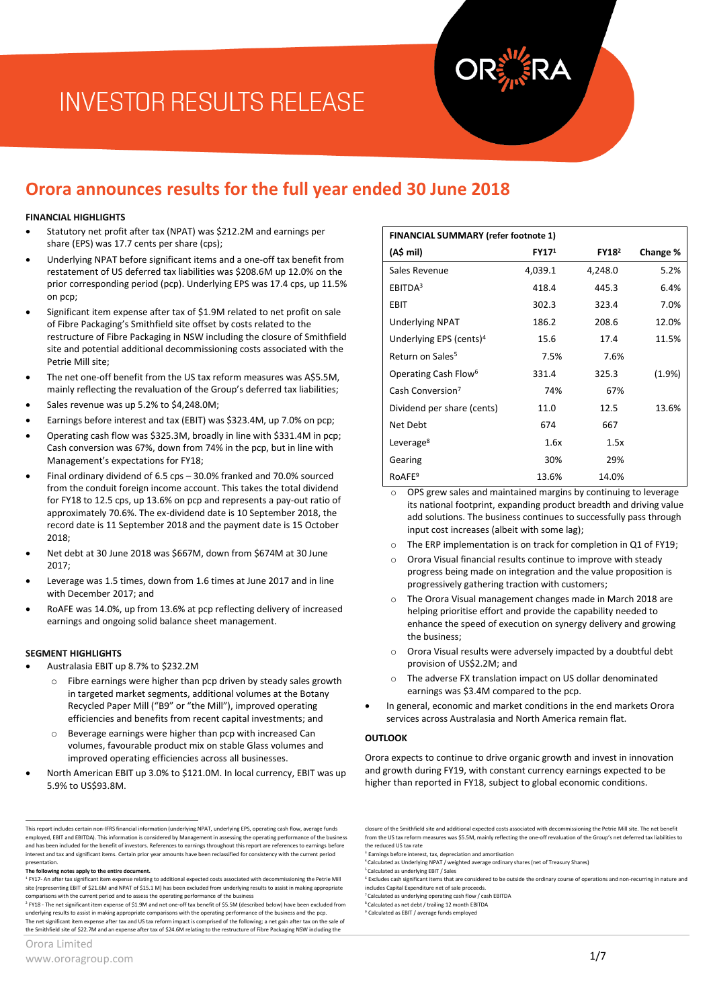# **INVESTOR RESULTS RELEASE**

### **Orora announces results for the full year ended 30 June 2018**

#### **FINANCIAL HIGHLIGHTS**

- Statutory net profit after tax (NPAT) was \$212.2M and earnings per share (EPS) was 17.7 cents per share (cps);
- Underlying NPAT before significant items and a one-off tax benefit from restatement of US deferred tax liabilities was \$208.6M up 12.0% on the prior corresponding period (pcp). Underlying EPS was 17.4 cps, up 11.5% on pcp;
- Significant item expense after tax of \$1.9M related to net profit on sale of Fibre Packaging's Smithfield site offset by costs related to the restructure of Fibre Packaging in NSW including the closure of Smithfield site and potential additional decommissioning costs associated with the Petrie Mill site;
- The net one-off benefit from the US tax reform measures was A\$5.5M, mainly reflecting the revaluation of the Group's deferred tax liabilities;
- Sales revenue was up 5.2% to \$4,248.0M;
- Earnings before interest and tax (EBIT) was \$323.4M, up 7.0% on pcp;
- Operating cash flow was \$325.3M, broadly in line with \$331.4M in pcp; Cash conversion was 67%, down from 74% in the pcp, but in line with Management's expectations for FY18;
- Final ordinary dividend of 6.5 cps 30.0% franked and 70.0% sourced from the conduit foreign income account. This takes the total dividend for FY18 to 12.5 cps, up 13.6% on pcp and represents a pay-out ratio of approximately 70.6%. The ex-dividend date is 10 September 2018, the record date is 11 September 2018 and the payment date is 15 October  $2018$
- Net debt at 30 June 2018 was \$667M, down from \$674M at 30 June  $2017$
- Leverage was 1.5 times, down from 1.6 times at June 2017 and in line with December 2017; and
- RoAFE was 14.0%, up from 13.6% at pcp reflecting delivery of increased earnings and ongoing solid balance sheet management.

#### **SEGMENT HIGHLIGHTS**

- Australasia EBIT up 8.7% to \$232.2M
	- Fibre earnings were higher than pcp driven by steady sales growth in targeted market segments, additional volumes at the Botany Recycled Paper Mill ("B9" or "the Mill"), improved operating efficiencies and benefits from recent capital investments; and
	- o Beverage earnings were higher than pcp with increased Can volumes, favourable product mix on stable Glass volumes and improved operating efficiencies across all businesses.
- North American EBIT up 3.0% to \$121.0M. In local currency, EBIT was up 5.9% to US\$93.8M.

underlying results to assist in making appropriate comparisons with the operating performance of the business and the pcp. The net significant item expense after tax and US tax reform impact is comprised of the following; a net gain after tax on the sale of the Smithfield site of \$22.7M and an expense after tax of \$24.6M relating to the restructure of Fibre Packaging NSW including the

| Orora Limited |  |  |
|---------------|--|--|
|---------------|--|--|

| <b>FINANCIAL SUMMARY (refer footnote 1)</b> |                   |                   |          |  |
|---------------------------------------------|-------------------|-------------------|----------|--|
| (A\$ mil)                                   | FY17 <sup>1</sup> | FY18 <sup>2</sup> | Change % |  |
| Sales Revenue                               | 4,039.1           | 4,248.0           | 5.2%     |  |
| EBITDA <sup>3</sup>                         | 418.4             | 445.3             | 6.4%     |  |
| <b>EBIT</b>                                 | 302.3             | 323.4             | 7.0%     |  |
| <b>Underlying NPAT</b>                      | 186.2             | 208.6             | 12.0%    |  |
| Underlying EPS (cents) <sup>4</sup>         | 15.6              | 17.4              | 11.5%    |  |
| Return on Sales <sup>5</sup>                | 7.5%              | 7.6%              |          |  |
| Operating Cash Flow <sup>6</sup>            | 331.4             | 325.3             | (1.9%    |  |
| Cash Conversion <sup>7</sup>                | 74%               | 67%               |          |  |
| Dividend per share (cents)                  | 11.0              | 12.5              | 13.6%    |  |
| Net Debt                                    | 674               | 667               |          |  |
| Leverage <sup>8</sup>                       | 1.6x              | 1.5x              |          |  |
| Gearing                                     | 30%               | 29%               |          |  |
| RoAFE <sup>9</sup>                          | 13.6%             | 14.0%             |          |  |

OPS grew sales and maintained margins by continuing to leverage its national footprint, expanding product breadth and driving value add solutions. The business continues to successfully pass through input cost increases (albeit with some lag);

- The ERP implementation is on track for completion in Q1 of FY19;
- Orora Visual financial results continue to improve with steady progress being made on integration and the value proposition is progressively gathering traction with customers;
- The Orora Visual management changes made in March 2018 are helping prioritise effort and provide the capability needed to enhance the speed of execution on synergy delivery and growing the business;
- Orora Visual results were adversely impacted by a doubtful debt provision of US\$2.2M; and
- The adverse FX translation impact on US dollar denominated earnings was \$3.4M compared to the pcp.
- In general, economic and market conditions in the end markets Orora services across Australasia and North America remain flat.

#### **OUTLOOK**

Orora expects to continue to drive organic growth and invest in innovation and growth during FY19, with constant currency earnings expected to be higher than reported in FY18, subject to global economic conditions.

7 Calculated as underlying operating cash flow / cash EBITDA 8 Calculated as net debt / trailing 12 month EBITDA

<sup>9</sup> Calculated as EBIT / average funds employed

 This report includes certain non-IFRS financial information (underlying NPAT, underlying EPS, operating cash flow, average funds employed, EBIT and EBITDA). This information is considered by Management in assessing the operating performance of the business and has been included for the benefit of investors. References to earnings throughout this report are references to earnings before interest and tax and significant items. Certain prior year amounts have been reclassified for consistency with the current period presentation.

**The following notes apply to the entire document.**

<sup>&</sup>lt;sup>1</sup> FY17- An after tax significant item expense relating to additional expected costs associated with decommissioning the Petrie Mill<br>site (representing EBIT of \$21.6M and NPAT of \$15.1 M) has been excluded from underlying comparisons with the current period and to assess the operating performance of the business<br><sup>2</sup> FY18 - The net significant item expense of \$1.9M and net one-off tax benefit of \$5.5M (described below) have been excluded fro

closure of the Smithfield site and additional expected costs associated with decommissioning the Petrie Mill site. The net benefit<br>from the US tax reform measures was \$5.5M, mainly reflecting the one-off revaluation of the the reduced US tax rate

Earnings before interest, tax, depreciation and amortisation

<sup>4</sup> Calculated as Underlying NPAT / weighted average ordinary shares (net of Treasury Shares)

<sup>5</sup> Calculated as underlying EBIT / Sales 6 Excludes cash significant items that are considered to be outside the ordinary course of operations and non-recurring in nature and includes Capital Expenditure net of sale proceeds.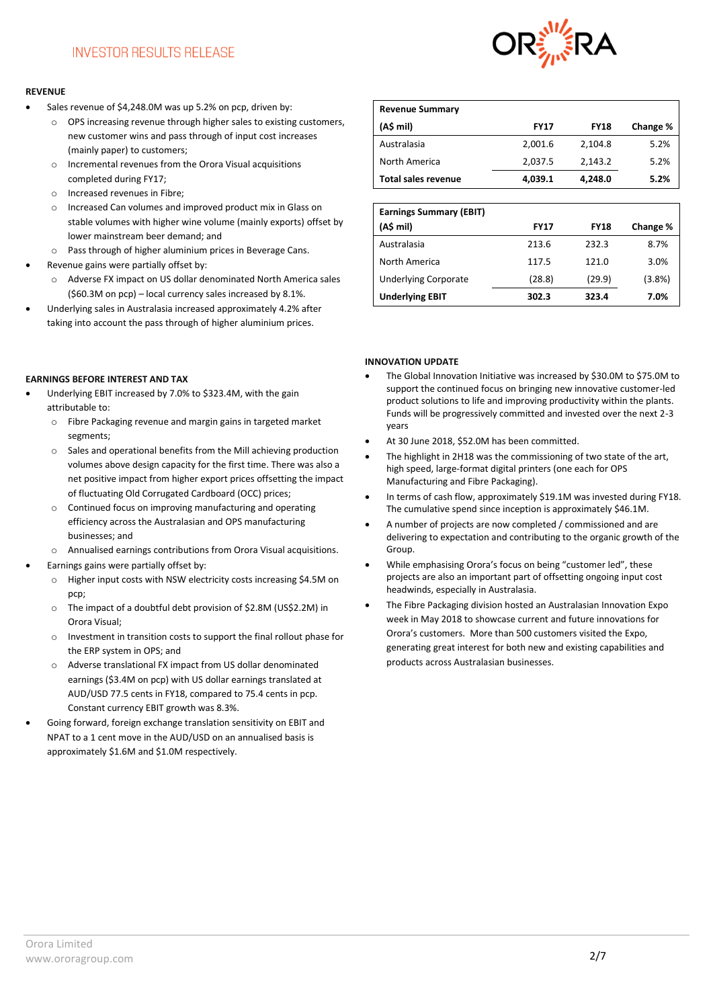

#### **REVENUE**

- Sales revenue of \$4,248.0M was up 5.2% on pcp, driven by:
	- o OPS increasing revenue through higher sales to existing customers, new customer wins and pass through of input cost increases (mainly paper) to customers;
	- Incremental revenues from the Orora Visual acquisitions completed during FY17;
	- o Increased revenues in Fibre;
	- o Increased Can volumes and improved product mix in Glass on stable volumes with higher wine volume (mainly exports) offset by lower mainstream beer demand; and
	- o Pass through of higher aluminium prices in Beverage Cans. Revenue gains were partially offset by:
	- o Adverse FX impact on US dollar denominated North America sales (\$60.3M on pcp) – local currency sales increased by 8.1%.
- Underlying sales in Australasia increased approximately 4.2% after taking into account the pass through of higher aluminium prices.

#### **EARNINGS BEFORE INTEREST AND TAX**

- Underlying EBIT increased by 7.0% to \$323.4M, with the gain attributable to:
	- o Fibre Packaging revenue and margin gains in targeted market segments;
	- o Sales and operational benefits from the Mill achieving production volumes above design capacity for the first time. There was also a net positive impact from higher export prices offsetting the impact of fluctuating Old Corrugated Cardboard (OCC) prices;
	- o Continued focus on improving manufacturing and operating efficiency across the Australasian and OPS manufacturing businesses; and
	- o Annualised earnings contributions from Orora Visual acquisitions.
- Earnings gains were partially offset by:
	- o Higher input costs with NSW electricity costs increasing \$4.5M on pcp;
	- o The impact of a doubtful debt provision of \$2.8M (US\$2.2M) in Orora Visual;
	- o Investment in transition costs to support the final rollout phase for the ERP system in OPS; and
	- o Adverse translational FX impact from US dollar denominated earnings (\$3.4M on pcp) with US dollar earnings translated at AUD/USD 77.5 cents in FY18, compared to 75.4 cents in pcp. Constant currency EBIT growth was 8.3%.
- Going forward, foreign exchange translation sensitivity on EBIT and NPAT to a 1 cent move in the AUD/USD on an annualised basis is approximately \$1.6M and \$1.0M respectively.

| <b>Revenue Summary</b>     |             |             |          |
|----------------------------|-------------|-------------|----------|
| (AS mil)                   | <b>FY17</b> | <b>FY18</b> | Change % |
| Australasia                | 2,001.6     | 2,104.8     | 5.2%     |
| North America              | 2,037.5     | 2,143.2     | 5.2%     |
| <b>Total sales revenue</b> | 4,039.1     | 4.248.0     | 5.2%     |

| <b>Earnings Summary (EBIT)</b><br>(A\$ mil) | <b>FY17</b> | <b>FY18</b> | Change % |
|---------------------------------------------|-------------|-------------|----------|
| Australasia                                 | 213.6       | 232.3       | 8.7%     |
| North America                               | 117.5       | 121.0       | 3.0%     |
| <b>Underlying Corporate</b>                 | (28.8)      | (29.9)      | (3.8%)   |
| <b>Underlying EBIT</b>                      | 302.3       | 323.4       | 7.0%     |

#### **INNOVATION UPDATE**

- The Global Innovation Initiative was increased by \$30.0M to \$75.0M to support the continued focus on bringing new innovative customer-led product solutions to life and improving productivity within the plants. Funds will be progressively committed and invested over the next 2-3 years
- At 30 June 2018, \$52.0M has been committed.
- The highlight in 2H18 was the commissioning of two state of the art, high speed, large-format digital printers (one each for OPS Manufacturing and Fibre Packaging).
- In terms of cash flow, approximately \$19.1M was invested during FY18. The cumulative spend since inception is approximately \$46.1M.
- A number of projects are now completed / commissioned and are delivering to expectation and contributing to the organic growth of the Group.
- While emphasising Orora's focus on being "customer led", these projects are also an important part of offsetting ongoing input cost headwinds, especially in Australasia.
- The Fibre Packaging division hosted an Australasian Innovation Expo week in May 2018 to showcase current and future innovations for Orora's customers. More than 500 customers visited the Expo, generating great interest for both new and existing capabilities and products across Australasian businesses.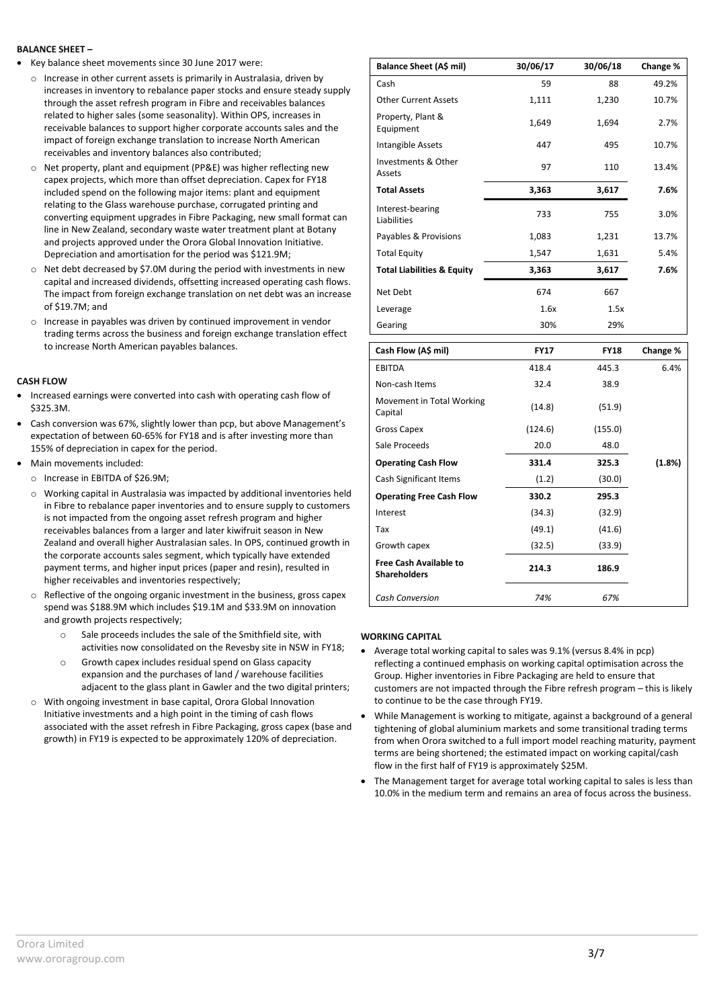#### **BALANCE SHEET –**

- Key balance sheet movements since 30 June 2017 were:
	- $\circ$  Increase in other current assets is primarily in Australasia, driven by increases in inventory to rebalance paper stocks and ensure steady supply through the asset refresh program in Fibre and receivables balances related to higher sales (some seasonality). Within OPS, increases in receivable balances to support higher corporate accounts sales and the impact of foreign exchange translation to increase North American receivables and inventory balances also contributed;
	- Net property, plant and equipment (PP&E) was higher reflecting new capex projects, which more than offset depreciation. Capex for FY18 included spend on the following major items: plant and equipment relating to the Glass warehouse purchase, corrugated printing and converting equipment upgrades in Fibre Packaging, new small format can line in New Zealand, secondary waste water treatment plant at Botany and projects approved under the Orora Global Innovation Initiative. Depreciation and amortisation for the period was \$121.9M;
	- o Net debt decreased by \$7.0M during the period with investments in new capital and increased dividends, offsetting increased operating cash flows. The impact from foreign exchange translation on net debt was an increase of \$19.7M; and
	- o Increase in payables was driven by continued improvement in vendor trading terms across the business and foreign exchange translation effect to increase North American payables balances.

#### **CASH FLOW**

- Increased earnings were converted into cash with operating cash flow of \$325.3M.
- Cash conversion was 67%, slightly lower than pcp, but above Management's expectation of between 60-65% for FY18 and is after investing more than 155% of depreciation in capex for the period.
- Main movements included:
	- o Increase in EBITDA of \$26.9M;
	- o Working capital in Australasia was impacted by additional inventories held in Fibre to rebalance paper inventories and to ensure supply to customers is not impacted from the ongoing asset refresh program and higher receivables balances from a larger and later kiwifruit season in New Zealand and overall higher Australasian sales. In OPS, continued growth in the corporate accounts sales segment, which typically have extended payment terms, and higher input prices (paper and resin), resulted in higher receivables and inventories respectively;
	- o Reflective of the ongoing organic investment in the business, gross capex spend was \$188.9M which includes \$19.1M and \$33.9M on innovation and growth projects respectively;
		- o Sale proceeds includes the sale of the Smithfield site, with activities now consolidated on the Revesby site in NSW in FY18;
		- o Growth capex includes residual spend on Glass capacity expansion and the purchases of land / warehouse facilities adjacent to the glass plant in Gawler and the two digital printers;
	- o With ongoing investment in base capital, Orora Global Innovation Initiative investments and a high point in the timing of cash flows associated with the asset refresh in Fibre Packaging, gross capex (base and growth) in FY19 is expected to be approximately 120% of depreciation.

| Balance Sheet (A\$ mil)               | 30/06/17 | 30/06/18 | Change % |
|---------------------------------------|----------|----------|----------|
| Cash                                  | 59       | 88       | 49.2%    |
| <b>Other Current Assets</b>           | 1,111    | 1,230    | 10.7%    |
| Property, Plant &<br>Equipment        | 1,649    | 1,694    | 2.7%     |
| Intangible Assets                     | 447      | 495      | 10.7%    |
| Investments & Other<br>Assets         | 97       | 110      | 13.4%    |
| <b>Total Assets</b>                   | 3,363    | 3,617    | 7.6%     |
| Interest-bearing<br>Liabilities       | 733      | 755      | 3.0%     |
| Payables & Provisions                 | 1,083    | 1,231    | 13.7%    |
| <b>Total Equity</b>                   | 1,547    | 1,631    | 5.4%     |
| <b>Total Liabilities &amp; Equity</b> | 3,363    | 3,617    | 7.6%     |
| Net Debt                              | 674      | 667      |          |
| Leverage                              | 1.6x     | 1.5x     |          |
| Gearing                               | 30%      | 29%      |          |

| Cash Flow (A\$ mil)                                  | <b>FY17</b> | <b>FY18</b> | Change % |
|------------------------------------------------------|-------------|-------------|----------|
| <b>EBITDA</b>                                        | 418.4       | 445.3       | 6.4%     |
| Non-cash Items                                       | 32.4        | 38.9        |          |
| Movement in Total Working<br>Capital                 | (14.8)      | (51.9)      |          |
| Gross Capex                                          | (124.6)     | (155.0)     |          |
| Sale Proceeds                                        | 20.0        | 48.0        |          |
| <b>Operating Cash Flow</b>                           | 331.4       | 325.3       | (1.8%)   |
| Cash Significant Items                               | (1.2)       | (30.0)      |          |
| <b>Operating Free Cash Flow</b>                      | 330.2       | 295.3       |          |
| Interest                                             | (34.3)      | (32.9)      |          |
| Tax                                                  | (49.1)      | (41.6)      |          |
| Growth capex                                         | (32.5)      | (33.9)      |          |
| <b>Free Cash Available to</b><br><b>Shareholders</b> | 214.3       | 186.9       |          |
| <b>Cash Conversion</b>                               | 74%         | 67%         |          |

### **WORKING CAPITAL**

- Average total working capital to sales was 9.1% (versus 8.4% in pcp) reflecting a continued emphasis on working capital optimisation across the Group. Higher inventories in Fibre Packaging are held to ensure that customers are not impacted through the Fibre refresh program – this is likely to continue to be the case through FY19.
- While Management is working to mitigate, against a background of a general tightening of global aluminium markets and some transitional trading terms from when Orora switched to a full import model reaching maturity, payment terms are being shortened; the estimated impact on working capital/cash flow in the first half of FY19 is approximately \$25M.
- The Management target for average total working capital to sales is less than 10.0% in the medium term and remains an area of focus across the business.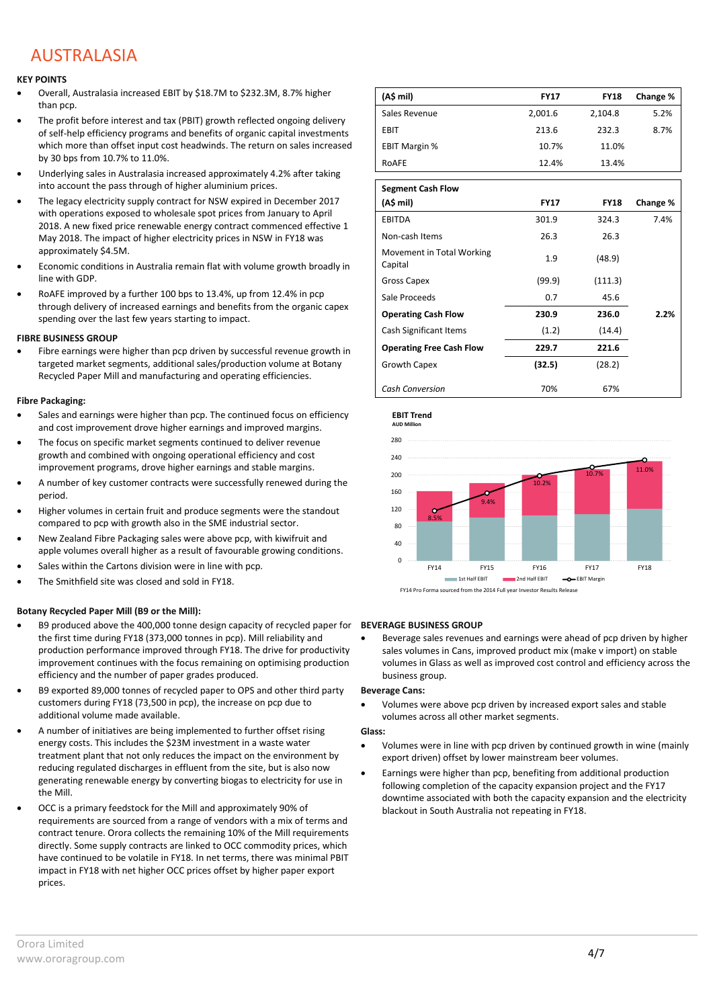### AUSTRALASIA

#### **KEY POINTS**

- Overall, Australasia increased EBIT by \$18.7M to \$232.3M, 8.7% higher than pcp.
- The profit before interest and tax (PBIT) growth reflected ongoing delivery of self-help efficiency programs and benefits of organic capital investments which more than offset input cost headwinds. The return on sales increased by 30 bps from 10.7% to 11.0%.
- Underlying sales in Australasia increased approximately 4.2% after taking into account the pass through of higher aluminium prices.
- The legacy electricity supply contract for NSW expired in December 2017 with operations exposed to wholesale spot prices from January to April 2018. A new fixed price renewable energy contract commenced effective 1 May 2018. The impact of higher electricity prices in NSW in FY18 was approximately \$4.5M.
- Economic conditions in Australia remain flat with volume growth broadly in line with GDP.
- RoAFE improved by a further 100 bps to 13.4%, up from 12.4% in pcp through delivery of increased earnings and benefits from the organic capex spending over the last few years starting to impact.

#### **FIBRE BUSINESS GROUP**

 Fibre earnings were higher than pcp driven by successful revenue growth in targeted market segments, additional sales/production volume at Botany Recycled Paper Mill and manufacturing and operating efficiencies.

#### **Fibre Packaging:**

- Sales and earnings were higher than pcp. The continued focus on efficiency and cost improvement drove higher earnings and improved margins.
- The focus on specific market segments continued to deliver revenue growth and combined with ongoing operational efficiency and cost improvement programs, drove higher earnings and stable margins.
- A number of key customer contracts were successfully renewed during the period.
- Higher volumes in certain fruit and produce segments were the standout compared to pcp with growth also in the SME industrial sector.
- New Zealand Fibre Packaging sales were above pcp, with kiwifruit and apple volumes overall higher as a result of favourable growing conditions.
- Sales within the Cartons division were in line with pcp.
- The Smithfield site was closed and sold in FY18.

#### **Botany Recycled Paper Mill (B9 or the Mill):**

- B9 produced above the 400,000 tonne design capacity of recycled paper for the first time during FY18 (373,000 tonnes in pcp). Mill reliability and production performance improved through FY18. The drive for productivity improvement continues with the focus remaining on optimising production efficiency and the number of paper grades produced.
- B9 exported 89,000 tonnes of recycled paper to OPS and other third party customers during FY18 (73,500 in pcp), the increase on pcp due to additional volume made available.
- A number of initiatives are being implemented to further offset rising energy costs. This includes the \$23M investment in a waste water treatment plant that not only reduces the impact on the environment by reducing regulated discharges in effluent from the site, but is also now generating renewable energy by converting biogas to electricity for use in the Mill.
- OCC is a primary feedstock for the Mill and approximately 90% of requirements are sourced from a range of vendors with a mix of terms and contract tenure. Orora collects the remaining 10% of the Mill requirements directly. Some supply contracts are linked to OCC commodity prices, which have continued to be volatile in FY18. In net terms, there was minimal PBIT impact in FY18 with net higher OCC prices offset by higher paper export prices.

| (A\$ mil)            | <b>FY17</b> | <b>FY18</b> | Change % |
|----------------------|-------------|-------------|----------|
| Sales Revenue        | 2,001.6     | 2,104.8     | 5.2%     |
| EBIT                 | 213.6       | 232.3       | 8.7%     |
| <b>EBIT Margin %</b> | 10.7%       | 11.0%       |          |
| ROAFE                | 12.4%       | 13.4%       |          |

| <b>Segment Cash Flow</b>             |             |             |          |
|--------------------------------------|-------------|-------------|----------|
| (A\$ mil)                            | <b>FY17</b> | <b>FY18</b> | Change % |
| <b>EBITDA</b>                        | 301.9       | 324.3       | 7.4%     |
| Non-cash Items                       | 26.3        | 26.3        |          |
| Movement in Total Working<br>Capital | 1.9         | (48.9)      |          |
| Gross Capex                          | (99.9)      | (111.3)     |          |
| Sale Proceeds                        | 0.7         | 45.6        |          |
| <b>Operating Cash Flow</b>           | 230.9       | 236.0       | 2.2%     |
| Cash Significant Items               | (1.2)       | (14.4)      |          |
| <b>Operating Free Cash Flow</b>      | 229.7       | 221.6       |          |
| Growth Capex                         | (32.5)      | (28.2)      |          |
| <b>Cash Conversion</b>               | 70%         | 67%         |          |





#### **BEVERAGE BUSINESS GROUP**

 Beverage sales revenues and earnings were ahead of pcp driven by higher sales volumes in Cans, improved product mix (make v import) on stable volumes in Glass as well as improved cost control and efficiency across the business group.

#### **Beverage Cans:**

 Volumes were above pcp driven by increased export sales and stable volumes across all other market segments.

#### **Glass:**

- Volumes were in line with pcp driven by continued growth in wine (mainly export driven) offset by lower mainstream beer volumes.
- Earnings were higher than pcp, benefiting from additional production following completion of the capacity expansion project and the FY17 downtime associated with both the capacity expansion and the electricity blackout in South Australia not repeating in FY18.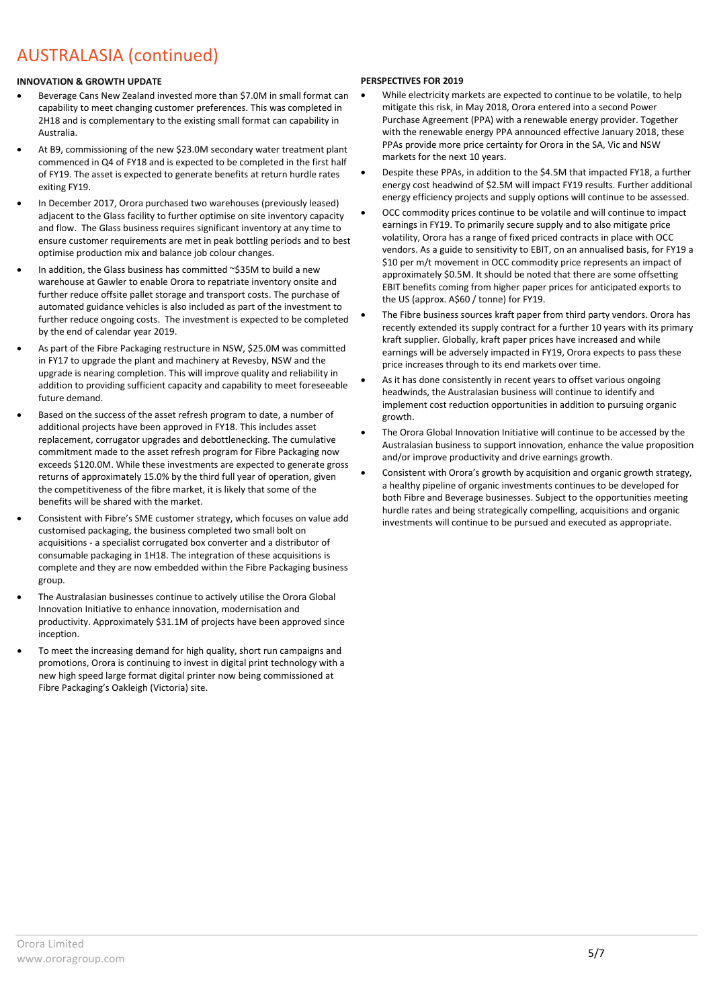# AUSTRALASIA (continued)

### **INNOVATION & GROWTH UPDATE**

- Beverage Cans New Zealand invested more than \$7.0M in small format can capability to meet changing customer preferences. This was completed in 2H18 and is complementary to the existing small format can capability in Australia.
- At B9, commissioning of the new \$23.0M secondary water treatment plant commenced in Q4 of FY18 and is expected to be completed in the first half of FY19. The asset is expected to generate benefits at return hurdle rates exiting FY19.
- In December 2017, Orora purchased two warehouses (previously leased) adjacent to the Glass facility to further optimise on site inventory capacity and flow. The Glass business requires significant inventory at any time to ensure customer requirements are met in peak bottling periods and to best optimise production mix and balance job colour changes.
- In addition, the Glass business has committed ~\$35M to build a new warehouse at Gawler to enable Orora to repatriate inventory onsite and further reduce offsite pallet storage and transport costs. The purchase of automated guidance vehicles is also included as part of the investment to further reduce ongoing costs. The investment is expected to be completed by the end of calendar year 2019.
- As part of the Fibre Packaging restructure in NSW, \$25.0M was committed in FY17 to upgrade the plant and machinery at Revesby, NSW and the upgrade is nearing completion. This will improve quality and reliability in addition to providing sufficient capacity and capability to meet foreseeable future demand.
- Based on the success of the asset refresh program to date, a number of additional projects have been approved in FY18. This includes asset replacement, corrugator upgrades and debottlenecking. The cumulative commitment made to the asset refresh program for Fibre Packaging now exceeds \$120.0M. While these investments are expected to generate gross returns of approximately 15.0% by the third full year of operation, given the competitiveness of the fibre market, it is likely that some of the benefits will be shared with the market.
- Consistent with Fibre's SME customer strategy, which focuses on value add customised packaging, the business completed two small bolt on acquisitions - a specialist corrugated box converter and a distributor of consumable packaging in 1H18. The integration of these acquisitions is complete and they are now embedded within the Fibre Packaging business group.
- The Australasian businesses continue to actively utilise the Orora Global Innovation Initiative to enhance innovation, modernisation and productivity. Approximately \$31.1M of projects have been approved since inception.
- To meet the increasing demand for high quality, short run campaigns and promotions, Orora is continuing to invest in digital print technology with a new high speed large format digital printer now being commissioned at Fibre Packaging's Oakleigh (Victoria) site.

### **PERSPECTIVES FOR 2019**

- While electricity markets are expected to continue to be volatile, to help mitigate this risk, in May 2018, Orora entered into a second Power Purchase Agreement (PPA) with a renewable energy provider. Together with the renewable energy PPA announced effective January 2018, these PPAs provide more price certainty for Orora in the SA, Vic and NSW markets for the next 10 years.
- Despite these PPAs, in addition to the \$4.5M that impacted FY18, a further energy cost headwind of \$2.5M will impact FY19 results. Further additional energy efficiency projects and supply options will continue to be assessed.
- OCC commodity prices continue to be volatile and will continue to impact earnings in FY19. To primarily secure supply and to also mitigate price volatility, Orora has a range of fixed priced contracts in place with OCC vendors. As a guide to sensitivity to EBIT, on an annualised basis, for FY19 a \$10 per m/t movement in OCC commodity price represents an impact of approximately \$0.5M. It should be noted that there are some offsetting EBIT benefits coming from higher paper prices for anticipated exports to the US (approx. A\$60 / tonne) for FY19.
- The Fibre business sources kraft paper from third party vendors. Orora has recently extended its supply contract for a further 10 years with its primary kraft supplier. Globally, kraft paper prices have increased and while earnings will be adversely impacted in FY19, Orora expects to pass these price increases through to its end markets over time.
- As it has done consistently in recent years to offset various ongoing headwinds, the Australasian business will continue to identify and implement cost reduction opportunities in addition to pursuing organic growth.
- The Orora Global Innovation Initiative will continue to be accessed by the Australasian business to support innovation, enhance the value proposition and/or improve productivity and drive earnings growth.
- Consistent with Orora's growth by acquisition and organic growth strategy, a healthy pipeline of organic investments continues to be developed for both Fibre and Beverage businesses. Subject to the opportunities meeting hurdle rates and being strategically compelling, acquisitions and organic investments will continue to be pursued and executed as appropriate.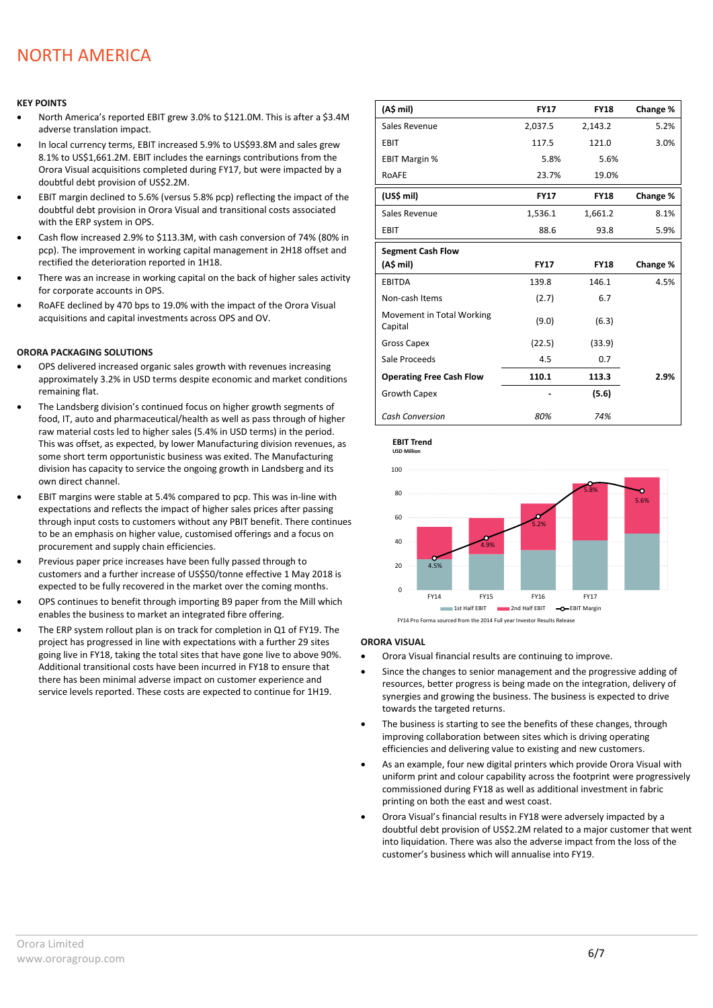## NORTH AMERICA

#### **KEY POINTS**

- North America's reported EBIT grew 3.0% to \$121.0M. This is after a \$3.4M adverse translation impact.
- In local currency terms, EBIT increased 5.9% to US\$93.8M and sales grew 8.1% to US\$1,661.2M. EBIT includes the earnings contributions from the Orora Visual acquisitions completed during FY17, but were impacted by a doubtful debt provision of US\$2.2M.
- EBIT margin declined to 5.6% (versus 5.8% pcp) reflecting the impact of the doubtful debt provision in Orora Visual and transitional costs associated with the ERP system in OPS.
- Cash flow increased 2.9% to \$113.3M, with cash conversion of 74% (80% in pcp). The improvement in working capital management in 2H18 offset and rectified the deterioration reported in 1H18.
- There was an increase in working capital on the back of higher sales activity for corporate accounts in OPS.
- RoAFE declined by 470 bps to 19.0% with the impact of the Orora Visual acquisitions and capital investments across OPS and OV.

#### **ORORA PACKAGING SOLUTIONS**

- OPS delivered increased organic sales growth with revenues increasing approximately 3.2% in USD terms despite economic and market conditions remaining flat.
- The Landsberg division's continued focus on higher growth segments of food, IT, auto and pharmaceutical/health as well as pass through of higher raw material costs led to higher sales (5.4% in USD terms) in the period. This was offset, as expected, by lower Manufacturing division revenues, as some short term opportunistic business was exited. The Manufacturing division has capacity to service the ongoing growth in Landsberg and its own direct channel.
- EBIT margins were stable at 5.4% compared to pcp. This was in-line with expectations and reflects the impact of higher sales prices after passing through input costs to customers without any PBIT benefit. There continues to be an emphasis on higher value, customised offerings and a focus on procurement and supply chain efficiencies.
- Previous paper price increases have been fully passed through to customers and a further increase of US\$50/tonne effective 1 May 2018 is expected to be fully recovered in the market over the coming months.
- OPS continues to benefit through importing B9 paper from the Mill which enables the business to market an integrated fibre offering.
- The ERP system rollout plan is on track for completion in Q1 of FY19. The project has progressed in line with expectations with a further 29 sites going live in FY18, taking the total sites that have gone live to above 90%. Additional transitional costs have been incurred in FY18 to ensure that there has been minimal adverse impact on customer experience and service levels reported. These costs are expected to continue for 1H19.

| (A\$ mil)                            | <b>FY17</b> | <b>FY18</b> | Change % |
|--------------------------------------|-------------|-------------|----------|
| Sales Revenue                        | 2,037.5     | 2,143.2     | 5.2%     |
| <b>EBIT</b>                          | 117.5       | 121.0       | 3.0%     |
| <b>EBIT Margin %</b>                 | 5.8%        | 5.6%        |          |
| RoAFE                                | 23.7%       | 19.0%       |          |
| (US\$ mil)                           | <b>FY17</b> | <b>FY18</b> | Change % |
| Sales Revenue                        | 1,536.1     | 1,661.2     | 8.1%     |
| <b>EBIT</b>                          | 88.6        | 93.8        | 5.9%     |
| <b>Segment Cash Flow</b>             |             |             |          |
| (A\$ mil)                            | <b>FY17</b> | <b>FY18</b> | Change % |
| <b>EBITDA</b>                        | 139.8       | 146.1       | 4.5%     |
| Non-cash Items                       | (2.7)       | 6.7         |          |
| Movement in Total Working<br>Capital | (9.0)       | (6.3)       |          |
| <b>Gross Capex</b>                   | (22.5)      | (33.9)      |          |
| Sale Proceeds                        | 4.5         | 0.7         |          |
| <b>Operating Free Cash Flow</b>      | 110.1       | 113.3       | 2.9%     |
| <b>Growth Capex</b>                  |             | (5.6)       |          |
| <b>Cash Conversion</b>               | 80%         | 74%         |          |



FY14 Pro Forma sourced from the 2014 Full year Investor Results Release

#### **ORORA VISUAL**

**EBIT Trend**

- Orora Visual financial results are continuing to improve.
- Since the changes to senior management and the progressive adding of resources, better progress is being made on the integration, delivery of synergies and growing the business. The business is expected to drive towards the targeted returns.
- The business is starting to see the benefits of these changes, through improving collaboration between sites which is driving operating efficiencies and delivering value to existing and new customers.
- As an example, four new digital printers which provide Orora Visual with uniform print and colour capability across the footprint were progressively commissioned during FY18 as well as additional investment in fabric printing on both the east and west coast.
- Orora Visual's financial results in FY18 were adversely impacted by a doubtful debt provision of US\$2.2M related to a major customer that went into liquidation. There was also the adverse impact from the loss of the customer's business which will annualise into FY19.